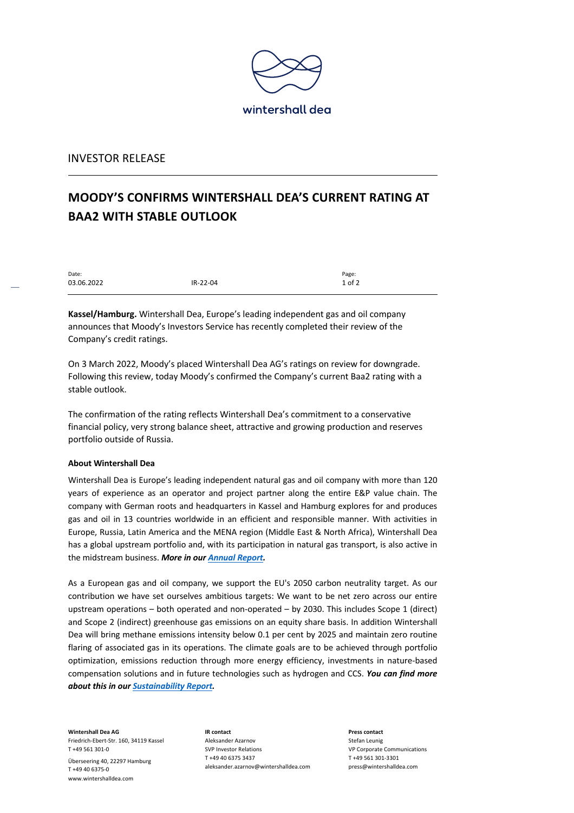

## INVESTOR RELEASE

## **MOODY'S CONFIRMS WINTERSHALL DEA'S CURRENT RATING AT BAA2 WITH STABLE OUTLOOK**

| Date:      |          | Page:      |
|------------|----------|------------|
| 03.06.2022 | IR-22-04 | $1$ of $2$ |
|            |          |            |

**Kassel/Hamburg.** Wintershall Dea, Europe's leading independent gas and oil company announces that Moody's Investors Service has recently completed their review of the Company's credit ratings.

On 3 March 2022, Moody's placed Wintershall Dea AG's ratings on review for downgrade. Following this review, today Moody's confirmed the Company's current Baa2 rating with a stable outlook.

The confirmation of the rating reflects Wintershall Dea's commitment to a conservative financial policy, very strong balance sheet, attractive and growing production and reserves portfolio outside of Russia.

## **About Wintershall Dea**

Wintershall Dea is Europe's leading independent natural gas and oil company with more than 120 years of experience as an operator and project partner along the entire E&P value chain. The company with German roots and headquarters in Kassel and Hamburg explores for and produces gas and oil in 13 countries worldwide in an efficient and responsible manner. With activities in Europe, Russia, Latin America and the MENA region (Middle East & North Africa), Wintershall Dea has a global upstream portfolio and, with its participation in natural gas transport, is also active in the midstream business. *More in our Annual Report.*

As a European gas and oil company, we support the EU's 2050 carbon neutrality target. As our contribution we have set ourselves ambitious targets: We want to be net zero across our entire upstream operations – both operated and non-operated – by 2030. This includes Scope 1 (direct) and Scope 2 (indirect) greenhouse gas emissions on an equity share basis. In addition Wintershall Dea will bring methane emissions intensity below 0.1 per cent by 2025 and maintain zero routine flaring of associated gas in its operations. The climate goals are to be achieved through portfolio optimization, emissions reduction through more energy efficiency, investments in nature-based compensation solutions and in future technologies such as hydrogen and CCS. *You can find more about this in our Sustainability Report.*

**Wintershall Dea AG** Friedrich-Ebert-Str. 160, 34119 Kassel T +49 561 301-0 Überseering 40, 22297 Hamburg

T +49 40 6375-0 www.wintershalldea.com **IR contact** Aleksander Azarnov SVP Investor Relations T +49 40 6375 3437 aleksander.azarnov@wintershalldea.com

**Press contact** Stefan Leunig VP Corporate Communications T +49 561 301-3301 press@wintershalldea.com